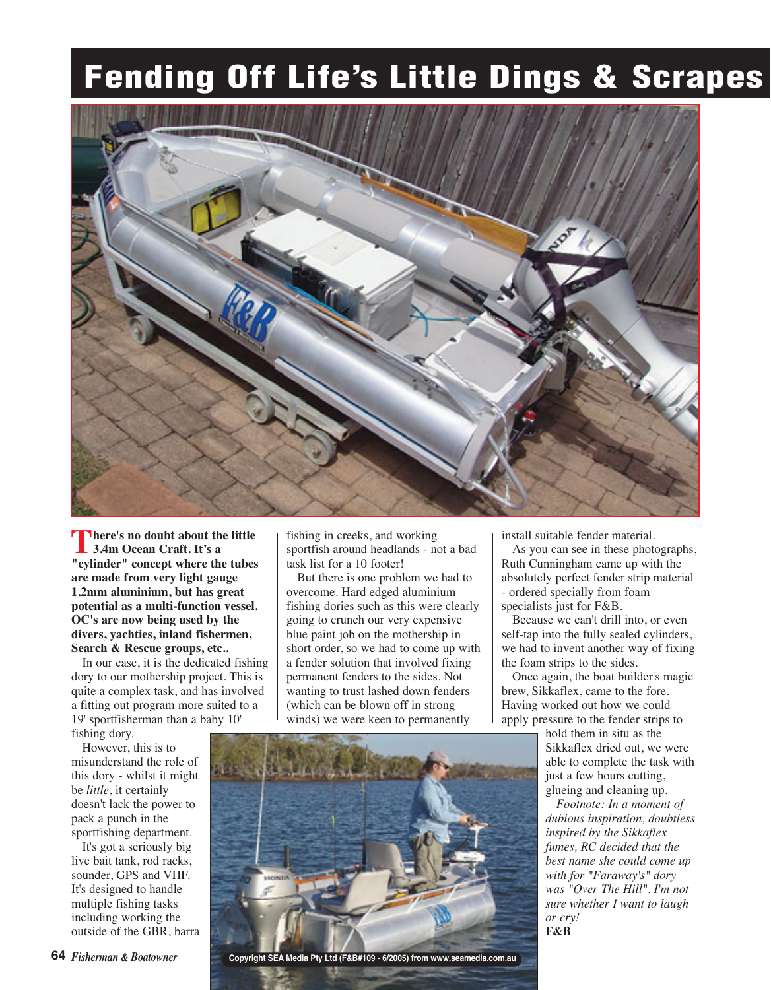## **Fending Off Life's Little Dings & Scrapes**



**There's no doubt about the little 3.4m Ocean Craft. It's a "cylinder" concept where the tubes are made from very light gauge 1.2mm aluminium, but has great potential as a multi-function vessel. OC's are now being used by the divers, yachties, inland fishermen, Search & Rescue groups, etc..** 

In our case, it is the dedicated fishing dory to our mothership project. This is quite a complex task, and has involved a fitting out program more suited to a 19' sportfisherman than a baby 10' fishing dory.

However, this is to misunderstand the role of this dory - whilst it might be *little*, it certainly doesn't lack the power to pack a punch in the sportfishing department.

It's got a seriously big live bait tank, rod racks, sounder, GPS and VHF. It's designed to handle multiple fishing tasks including working the outside of the GBR, barra fishing in creeks, and working sportfish around headlands - not a bad task list for a 10 footer!

But there is one problem we had to overcome. Hard edged aluminium fishing dories such as this were clearly going to crunch our very expensive blue paint job on the mothership in short order, so we had to come up with a fender solution that involved fixing permanent fenders to the sides. Not wanting to trust lashed down fenders (which can be blown off in strong winds) we were keen to permanently

install suitable fender material.

As you can see in these photographs, Ruth Cunningham came up with the absolutely perfect fender strip material - ordered specially from foam specialists just for F&B.

Because we can't drill into, or even self-tap into the fully sealed cylinders, we had to invent another way of fixing the foam strips to the sides.

Once again, the boat builder's magic brew, Sikkaflex, came to the fore. Having worked out how we could apply pressure to the fender strips to

> hold them in situ as the Sikkaflex dried out, we were able to complete the task with just a few hours cutting, glueing and cleaning up.

> *Footnote: In a moment of dubious inspiration, doubtless inspired by the Sikkaflex fumes, RC decided that the best name she could come up with for "Faraway's" dory was "Over The Hill". I'm not sure whether I want to laugh or cry!*  F&B

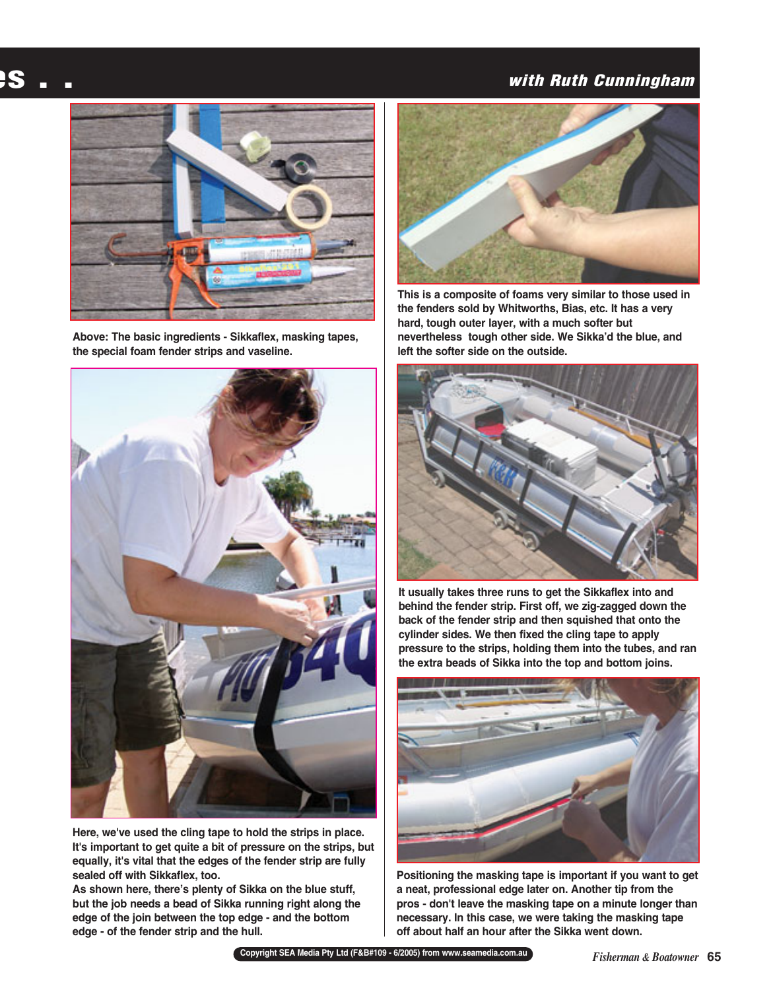## **es . .**

## **with Ruth Cunningham**



**Above: The basic ingredients - Sikkaflex, masking tapes, the special foam fender strips and vaseline.** 



**Here, we've used the cling tape to hold the strips in place. It's important to get quite a bit of pressure on the strips, but equally, it's vital that the edges of the fender strip are fully sealed off with Sikkaflex, too.** 

**As shown here, there's plenty of Sikka on the blue stuff, but the job needs a bead of Sikka running right along the edge of the join between the top edge - and the bottom edge - of the fender strip and the hull.** 



**This is a composite of foams very similar to those used in the fenders sold by Whitworths, Bias, etc. It has a very hard, tough outer layer, with a much softer but nevertheless tough other side. We Sikka'd the blue, and left the softer side on the outside.** 



**It usually takes three runs to get the Sikkaflex into and behind the fender strip. First off, we zig-zagged down the back of the fender strip and then squished that onto the cylinder sides. We then fixed the cling tape to apply pressure to the strips, holding them into the tubes, and ran the extra beads of Sikka into the top and bottom joins.** 



**Positioning the masking tape is important if you want to get a neat, professional edge later on. Another tip from the pros - don't leave the masking tape on a minute longer than necessary. In this case, we were taking the masking tape off about half an hour after the Sikka went down.**